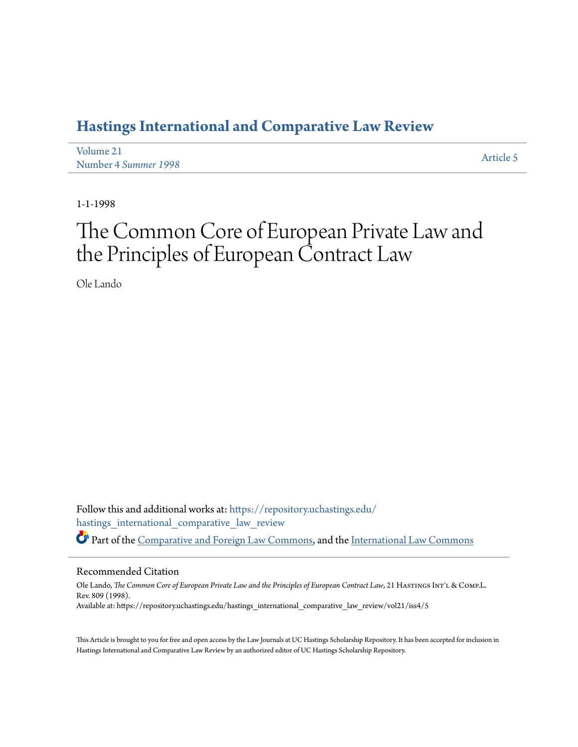# **[Hastings International and Comparative Law Review](https://repository.uchastings.edu/hastings_international_comparative_law_review?utm_source=repository.uchastings.edu%2Fhastings_international_comparative_law_review%2Fvol21%2Fiss4%2F5&utm_medium=PDF&utm_campaign=PDFCoverPages)**

| Volume 21            | Article 5 |
|----------------------|-----------|
| Number 4 Summer 1998 |           |

1-1-1998

# The Common Core of European Private Law and the Principles of European Contract Law

Ole Lando

Follow this and additional works at: [https://repository.uchastings.edu/](https://repository.uchastings.edu/hastings_international_comparative_law_review?utm_source=repository.uchastings.edu%2Fhastings_international_comparative_law_review%2Fvol21%2Fiss4%2F5&utm_medium=PDF&utm_campaign=PDFCoverPages) [hastings\\_international\\_comparative\\_law\\_review](https://repository.uchastings.edu/hastings_international_comparative_law_review?utm_source=repository.uchastings.edu%2Fhastings_international_comparative_law_review%2Fvol21%2Fiss4%2F5&utm_medium=PDF&utm_campaign=PDFCoverPages) Part of the [Comparative and Foreign Law Commons](http://network.bepress.com/hgg/discipline/836?utm_source=repository.uchastings.edu%2Fhastings_international_comparative_law_review%2Fvol21%2Fiss4%2F5&utm_medium=PDF&utm_campaign=PDFCoverPages), and the [International Law Commons](http://network.bepress.com/hgg/discipline/609?utm_source=repository.uchastings.edu%2Fhastings_international_comparative_law_review%2Fvol21%2Fiss4%2F5&utm_medium=PDF&utm_campaign=PDFCoverPages)

#### Recommended Citation

Ole Lando, *The Common Core of European Private Law and the Principles of European Contract Law*, 21 HastingsInt'l & Comp.L. Rev. 809 (1998). Available at: https://repository.uchastings.edu/hastings\_international\_comparative\_law\_review/vol21/iss4/5

This Article is brought to you for free and open access by the Law Journals at UC Hastings Scholarship Repository. It has been accepted for inclusion in Hastings International and Comparative Law Review by an authorized editor of UC Hastings Scholarship Repository.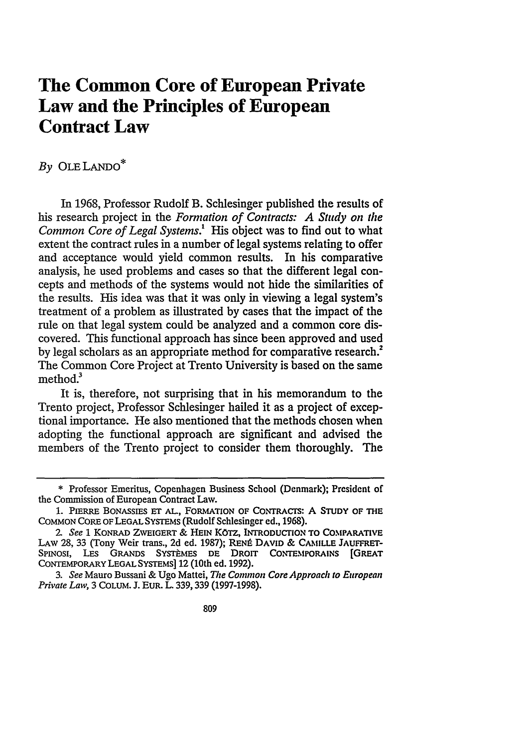# **The Common Core of European Private Law and the Principles of European Contract Law**

# *By* OLE LANDO\*

In 1968, Professor Rudolf B. Schlesinger published the results of his research project in the *Formation of Contracts: A Study on the Common Core of Legal Systems.!* His object was to find out to what extent the contract rules in a number of legal systems relating to offer and acceptance would yield common results. In his comparative analysis, he used problems and cases so that the different legal concepts and methods of the systems would not hide the similarities of the results. His idea was that it was only in viewing a legal system's treatment of a problem as illustrated by cases that the impact of the rule on that legal system could be analyzed and a common core discovered. This functional approach has since been approved and used by legal scholars as an appropriate method for comparative research.<sup>2</sup> The Common Core Project at Trento University is based on the same method $^3$ 

It is, therefore, not surprising that in his memorandum to the Trento project, Professor Schlesinger hailed it as a project of exceptional importance. He also mentioned that the methods chosen when adopting the functional approach are significant and advised the members of the Trento project to consider them thoroughly. The

<sup>\*</sup> Professor Emeritus, Copenhagen Business School (Denmark); President of the Commission of European Contract Law.

<sup>1.</sup> PIERRE BONASSIES **ET AL.,** FORMATION OF CoNTRAcTs: A STUDY OF THE COMMON CORE OF LEGAL SYSTEMS (Rudolf Schlesinger ed., 1968).

*<sup>2-</sup> See* **1** KONRAD ZVEIGERT *&* HEIN KOTz, INTRODUCTION TO COMPARATivE LAW **28,** 33 (Tony Weir trans., **2d** ed. **1987);** RENt DAVID & **CAMILLE** JAUFFRET-SPINOSI, LES GRANDS SYSTÈMES DE DROIT CONTEMPORAINS **[GREAT** CONTEMPORARY LEGAL SYSTEMS] 12 (10th ed. **1992).**

*<sup>3.</sup> See* Mauro Bussani & Ugo Mattei, *The Common Core Approach to European Private Law,* 3 COLuM. **J. EUR.** L. **339,339** (1997-1998).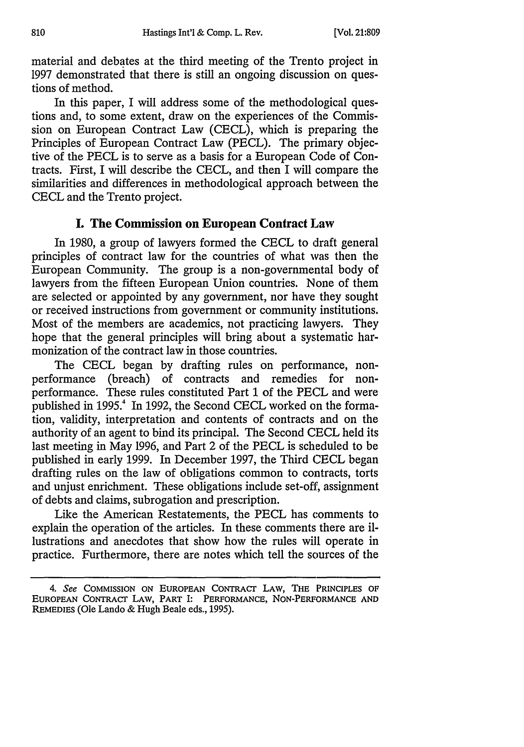material and debates at the third meeting of the Trento project in 1997 demonstrated that there is still an ongoing discussion on questions of method.

In this paper, I will address some of the methodological questions and, to some extent, draw on the experiences of the Commission on European Contract Law (CECL), which is preparing the Principles of European Contract Law (PECL). The primary objective of the PECL is to serve as a basis for a European Code of Contracts. First, I will describe the CECL, and then I will compare the similarities and differences in methodological approach between the CECL and the Trento project.

#### **I. The Commission on European Contract Law**

In **1980,** a group of lawyers formed the **CECL** to draft general principles of contract law for the countries of what vas then the European Community. The group is a non-governmental body of lawyers from the fifteen European Union countries. None of them are selected or appointed by any government, nor have they sought or received instructions from government or community institutions. Most of the members are academics, not practicing lawyers. They hope that the general principles will bring about a systematic harmonization of the contract law in those countries.

The CECL began by drafting rules on performance, nonperformance (breach) of contracts and remedies for nonperformance. These rules constituted Part 1 of the PECL and were published in *1995.'* In 1992, the Second CECL worked on the formation, validity, interpretation and contents of contracts and on the authority of an agent to bind its principal. The Second CECL held its last meeting in May 1996, and Part 2 of the PECL is scheduled to be published in early 1999. In December 1997, the Third CECL began drafting rules on the law of obligations common to contracts, torts and unjust enrichment. These obligations include set-off, assignment of debts and claims, subrogation and prescription.

Like the American Restatements, the PECL has comments to explain the operation of the articles. In these comments there are illustrations and anecdotes that show how the rules will operate in practice. Furthermore, there are notes which tell the sources of the

<sup>4.</sup> See **COMMISSION ON EUROPEAN** CONTRACr LAW, THE PRINCIPLES **OF EUROPEAN** CoNTRAcr LAW, PART I: PERFORMANCE, NON-PERFORMANCE **AND** REMEDIES (Ole Lando & Hugh Beale eds., 1995).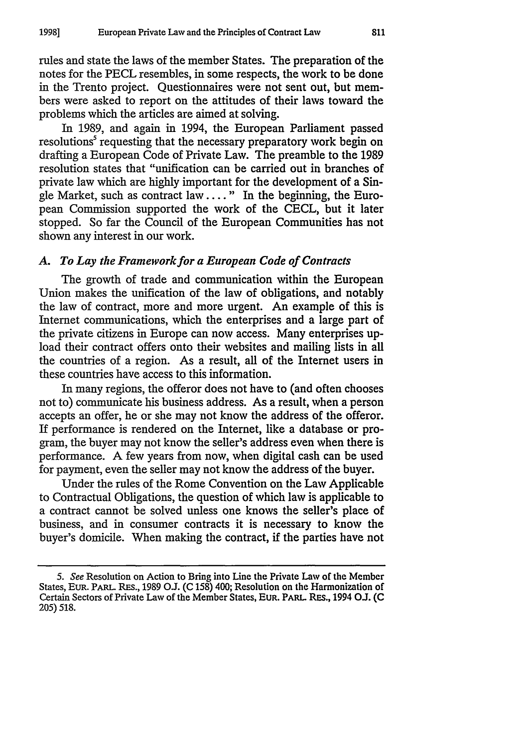rules and state the laws of the member States. The preparation of the notes for the PECL resembles, in some respects, the work to be done in the Trento project. Questionnaires were not sent out, but members were asked to report on the attitudes of their laws toward the problems which the articles are aimed at solving.

In 1989, and again in 1994, the European Parliament passed resolutions' requesting that the necessary preparatory work begin on drafting a European Code of Private Law. The preamble to the 1989 resolution states that "unification can be carried out in branches of private law which are highly important for the development of a Single Market, such as contract law  $\dots$ ." In the beginning, the European Commission supported the work of the CECL, but it later stopped. So far the Council of the European Communities has not shown any interest in our work.

#### *A. To Lay the Framework for a European Code of Contracts*

The growth of trade and communication within the European Union makes the unification of the law of obligations, and notably the law of contract, more and more urgent. An example of this is Internet communications, which the enterprises and a large part of the private citizens in Europe can now access. Many enterprises upload their contract offers onto their websites and mailing lists in all the countries of a region. As a result, all of the Internet users in these countries have access to this information.

In many regions, the offeror does not have to (and often chooses not to) communicate his business address. As a result, when a person accepts an offer, he or she may not know the address of the offeror. If performance is rendered on the Internet, like a database or program, the buyer may not know the seller's address even when there is performance. A few years from now, when digital cash can be used for payment, even the seller may not know the address of the buyer.

Under the rules of the Rome Convention on the Law Applicable to Contractual Obligations, the question of which law is applicable to a contract cannot be solved unless one knows the seller's place of business, and in consumer contracts it is necessary to know the buyer's domicile. When making the contract, if the parties have not

<sup>5.</sup> See Resolution on Action to Bring into Line the Private Law of the Member States, EUR. PARL. RES., 1989 O.J. (C 158) 400; Resolution on the Harmonization of Certain Sectors of Private Lav of the Member States, EUR. PARL. REs., 1994 O.J. (C 205) 518.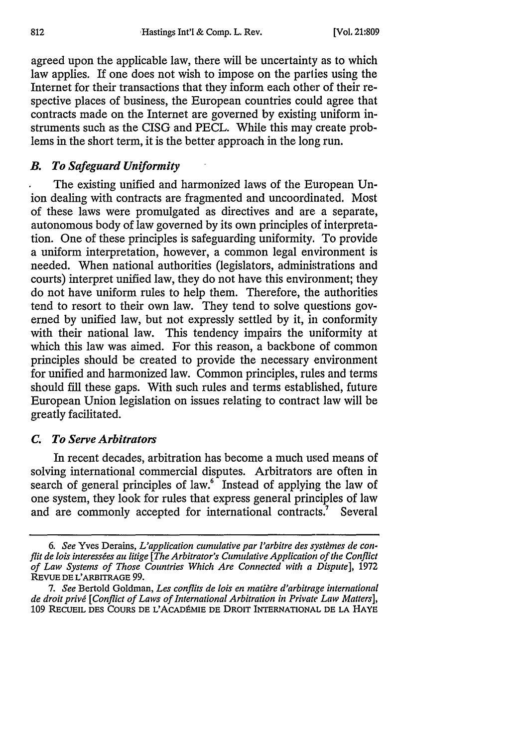agreed upon the applicable law, there will be uncertainty as to which law applies. If one does not wish to impose on the parlies using the Internet for their transactions that they inform each other of their respective places of business, the European countries could agree that contracts made on the Internet are governed by existing uniform instruments such as the CISG and PECL. While this may create problems in the short term, it is the better approach in the long run.

# *B. To Safeguard Uniformity*

The existing unified and harmonized laws of the European Union dealing with contracts are fragmented and uncoordinated. Most of these laws were promulgated as directives and are a separate, autonomous body of law governed **by** its own principles of interpretation. One of these principles is safeguarding uniformity. To provide a uniform interpretation, however, a common legal environment **is** needed. When national authorities (legislators, administrations and courts) interpret unified law, they do not have this environment; they do not have uniform rules to help them. Therefore, the authorities tend to resort to their own law. They tend to solve questions governed **by** unified law, but not expressly settled **by** it, in conformity with their national law. This tendency impairs the uniformity at which this law was aimed. For this reason, a backbone of common principles should be created to provide the necessary environment for unified and harmonized law. Common principles, rules and terms should **fill** these gaps. With such rules and terms established, future European Union legislation on issues relating to contract law will be greatly facilitated.

#### *C. To Serve Arbitrators*

In recent decades, arbitration has become a much used means of solving international commercial disputes. Arbitrators are often in search of general principles of law. $6 \text{°}$  Instead of applying the law of one system, they look for rules that express general principles of law and are commonly accepted for international contracts." Several

<sup>6.</sup> See Yves Derains, *L'application cumulative par l'arbitre des systèmes de conflit de lois interessées au litige [The Arbitrator's Cumulative Application of the Conflict of Law Systems of Those Countries Which Are Connected with a Dispute],* **1972 REVUE DE** L'ARBITRAGE **99.**

*<sup>7.</sup> See* Bertold Goldman, *Les conflits de lois en matigre d'arbitrage international de droit privg [Conflict of Laws of International Arbitration in Private Law Matters],* **109 RECUEIL DES COURS DE L'ACADPMIE** DE DROIT INTERNATIONAL **DE LA** HAYE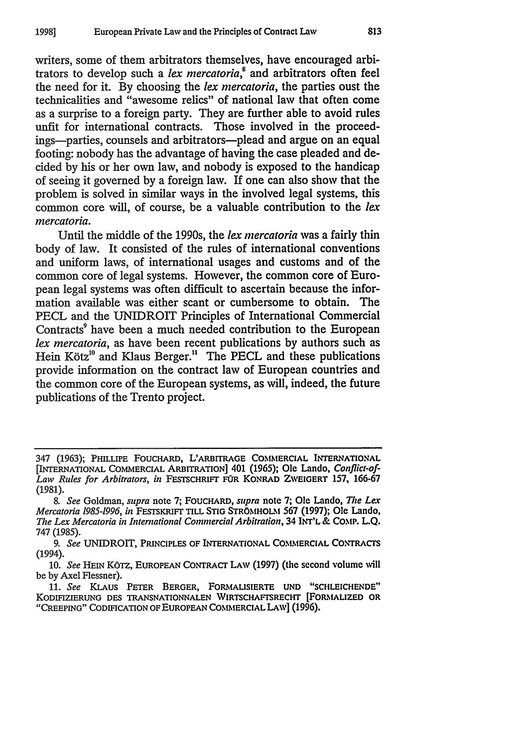writers, some of them arbitrators themselves, have encouraged arbitrators to develop such a *lex mercatoria*,<sup>8</sup> and arbitrators often feel the need for it. By choosing the *lex mercatoria,* the parties oust the technicalities and "awesome relics" of national law that often come as a surprise to a foreign party. They are further able to avoid rules unfit for international contracts. Those involved in the proceedings-parties, counsels and arbitrators-plead and argue on an equal footing: nobody has the advantage of having the case pleaded and decided by his or her own law, and nobody is exposed to the handicap of seeing it governed by a foreign law. If one can also show that the problem is solved in similar ways in the involved legal systems, this common core will, of course, be a valuable contribution to the *lex mercatoria.*

Until the middle of the 1990s, the *lex nercatoria* was a fairly thin body of law. It consisted of the rules of international conventions and uniform laws, of international usages and customs and of the common core of legal systems. However, the common core of European legal systems was often difficult to ascertain because the information available was either scant or cumbersome to obtain. The PECL and the UNIDROIT Principles of International Commercial Contracts<sup>9</sup> have been a much needed contribution to the European *lex mercatoria,* as have been recent publications by authors such as Hein Kötz<sup>10</sup> and Klaus Berger.<sup>11</sup> The PECL and these publications provide information on the contract law of European countries and the common core of the European systems, as will, indeed, the future publications of the Trento project.

<sup>347 (1963);</sup> PHILLIPE FOUCHARD, L'ARBITRAGE COMMERCIAL **INTERNATIONAL** [INTERNATIONAL COMMERCIAL ARBITRATION] 401 (1965); Ole Lando, *Conflict-of-Law Rules for Arbitrators, in* FESTSCHRIFr **FOR** KONRAD ZWEIGERT 157, 166-67 (1981).

*<sup>8.</sup> See* Goldman, *supra* note **7; FOUCHARD,** *supra* note **7;** Ole Lando, *The Lem Mercatoria 1985-1996, in* **FEsTsKRiFT** TILL **STIG** STROMHOLM 567 (1997); Ole Lando, *The Lex Mercatoria in International Commercial Arbitration,* 34 **INT'L** & **COMP. L.Q. 747 (1985).**

*<sup>9.</sup> See* **UNIDROIT, PRINCIPLES OF INTERNATIONAL COMMERCIAL CONTRACTS** (1994).

<sup>10.</sup> See HEIN KÖTZ, EUROPEAN CONTRACT LAW (1997) (the second volume will be by Axel Flessner).

**<sup>11.</sup>** *See* KLAus PETER BERGER, FORMALISIERTE **UND "SCHLEICHENDE"** KODIFIZIERUNG **DES TRANSNATIONNALEN WIRTSCHAFTSRECHT** [FORMALIZED **OR "CREEPING" CODIFICATION** OF **EUROPEAN COMMERCIAL LAW]** (1996).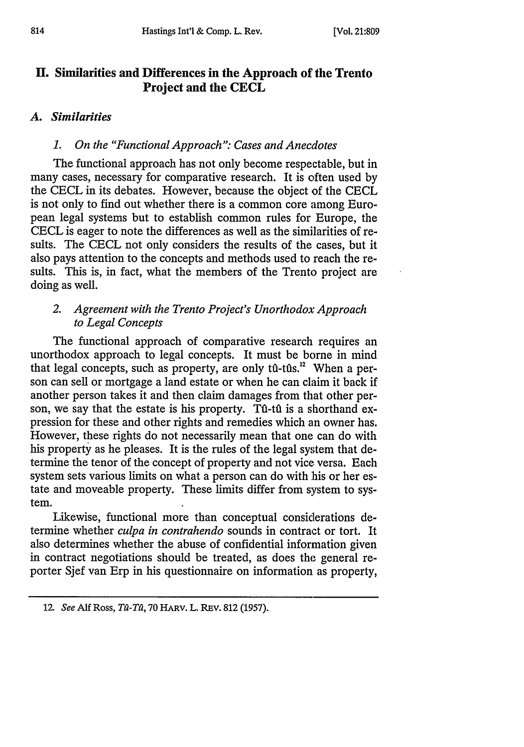# **H. Similarities and Differences in the Approach of the Trento Project and the CECL**

# *A. Similarities*

## *1. On the "Functional Approach": Cases and Anecdotes*

The functional approach has not only become respectable, but in many cases, necessary for comparative research. It is often used by the CECL in its debates. However, because the object of the CECL is not only to find out whether there is a common core among European legal systems but to establish common rules for Europe, the CECL is eager to note the differences as well as the similarities of resuits. The CECL not only considers the results of the cases, but it also pays attention to the concepts and methods used to reach the results. This is, in fact, what the members of the Trento project are doing as well.

# *2. Agreement with the Trento Project's Unorthodox Approach to Legal Concepts*

The functional approach of comparative research requires an unorthodox approach to legal concepts. It must be borne in mind that legal concepts, such as property, are only  $t\hat{u}$ -tûs.<sup>12</sup> When a person can sell or mortgage a land estate or when he can claim it back if another person takes it and then claim damages from that other person, we say that the estate is his property. Tu-tu is a shorthand expression for these and other rights and remedies which an owner has. However, these rights do not necessarily mean that one can do with his property as he pleases. It is the rules of the legal system that determine the tenor of the concept of property and not vice versa. Each system sets various limits on what a person can do with his or her estate and moveable property. These limits differ from system to system.

Likewise, functional more than conceptual considerations determine whether *culpa in contrahendo* sounds in contract or tort. It also determines whether the abuse of confidential information given in contract negotiations should be treated, as does the general reporter Sjef van Erp in his questionnaire on information as property,

<sup>12.</sup> See Alf Ross, *Tû-Tû*, 70 HARV. L. REV. 812 (1957).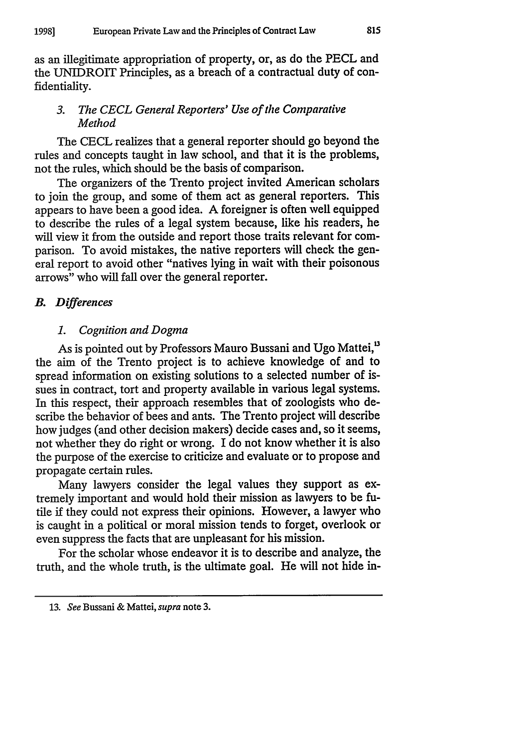as an illegitimate appropriation of property, or, as do the PECL and the UNIDROIT Principles, as a breach of a contractual duty of confidentiality.

#### *3. The CECL General Reporters' Use of the Comparative Method*

The CECL realizes that a general reporter should go beyond the rules and concepts taught in law school, and that it is the problems, not the rules, which should be the basis of comparison.

The organizers of the Trento project invited American scholars to join the group, and some of them act as general reporters. This appears to have been a good idea. A foreigner is often well equipped to describe the rules of a legal system because, like his readers, he will view it from the outside and report those traits relevant for comparison. To avoid mistakes, the native reporters will check the general report to avoid other "natives lying in wait with their poisonous arrows" who will fall over the general reporter.

#### *B. Differences*

#### *1. Cognition and Dogma*

As is pointed out **by** Professors Mauro Bussani and Ugo Mattei, **<sup>1</sup>** the aim of the Trento project is to achieve knowledge of and to spread information on existing solutions to a selected number of issues in contract, tort and property available in various legal systems. In this respect, their approach resembles that of zoologists who describe the behavior of bees and ants. The Trento project **will** describe how judges (and other decision makers) decide cases and, so it seems, not whether they do right or wrong. I do not know whether it is also the purpose of the exercise to criticize and evaluate or to propose and propagate certain rules.

Many lawyers consider the legal values they support as extremely important and would hold their mission as lawyers to be **fu**tile if they could not express their opinions. However, a lawyer who is caught in a political or moral mission tends to forget, overlook or even suppress the facts that are unpleasant for his mission.

For the scholar whose endeavor it is to describe and analyze, the truth, and the whole truth, is the ultimate goal. He will not hide in-

*<sup>13.</sup> See* Bussani **&** Mattei, *supra* note **3.**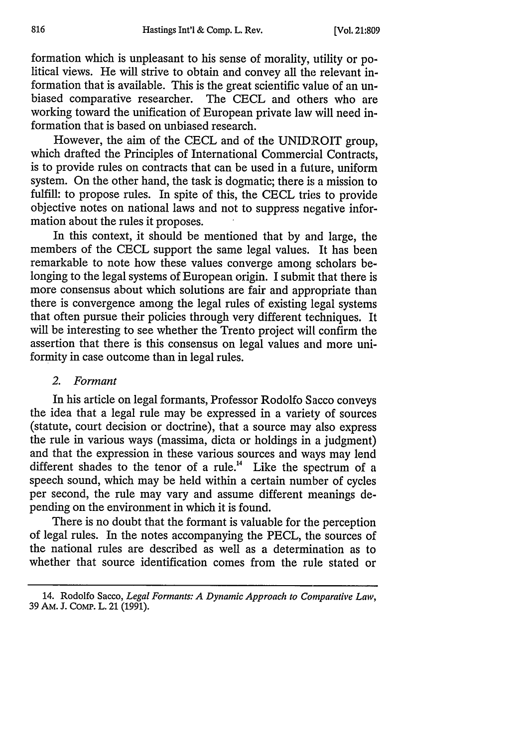formation which is unpleasant to his sense of morality, utility or political views. He will strive to obtain and convey all the relevant information that is available. This is the great scientific value of an unbiased comparative researcher. The CECL and others who are working toward the unification of European private law will need information that is based on unbiased research.

However, the aim of the CECL and of the UNIDROIT group, which drafted the Principles of International Commercial Contracts, is to provide rules on contracts that can be used in a future, uniform system. On the other hand, the task is dogmatic; there is a mission to fulfill: to propose rules. In spite of this, the CECL tries to provide objective notes on national laws and not to suppress negative information about the rules it proposes.

In this context, it should be mentioned that by and large, the members of the CECL support the same legal values. It has been remarkable to note how these values converge among scholars belonging to the legal systems of European origin. I submit that there is more consensus about which solutions are fair and appropriate than there is convergence among the legal rules of existing legal systems that often pursue their policies through very different techniques. It will be interesting to see whether the Trento project will confirm the assertion that there is this consensus on legal values and more uniformity in case outcome than in legal rules.

#### *2. Formant*

In his article on legal formants, Professor Rodolfo Sacco conveys the idea that a legal rule may be expressed in a variety of sources (statute, court decision or doctrine), that a source may also express the rule in various ways (massima, dicta or holdings in a judgment) and that the expression in these various sources and ways may lend different shades to the tenor of a rule.<sup>14</sup> Like the spectrum of a speech sound, which may be held within a certain number of cycles per second, the rule may vary and assume different meanings depending on the environment in which it is found.

There is no doubt that the formant is valuable for the perception of legal rules. In the notes accompanying the PECL, the sources of the national rules are described as well as a determination as to whether that source identification comes from the rule stated or

<sup>14.</sup> Rodolfo Sacco, *Legal Formants: A Dynamic Approach to Comparative Law,* 39 AM. J. COMP. L. 21 (1991).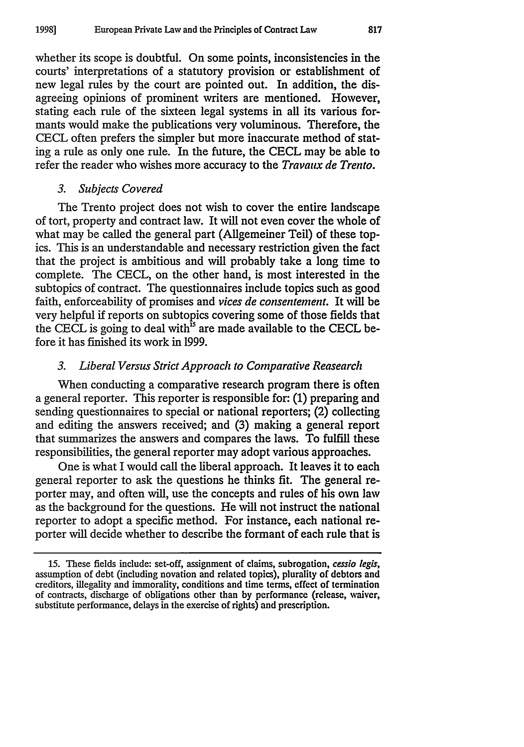whether its scope is doubtful. On some points, inconsistencies in the courts' interpretations of a statutory provision or establishment of new legal rules by the court are pointed out. In addition, the disagreeing opinions of prominent writers are mentioned. However, stating each rule of the sixteen legal systems in all its various formants would make the publications very voluminous. Therefore, the CECL often prefers the simpler but more inaccurate method of stating a rule as only one rule. In the future, the CECL may be able to refer the reader who wishes more accuracy to the *Travaux de Trento.*

#### *3. Subjects Covered*

The Trento project does not wish to cover the entire landscape of tort, property and contract law. It will not even cover the whole of what may be called the general part (Allgemeiner Teil) of these topics. This is an understandable and necessary restriction given the fact that the project is ambitious and will probably take a long time to complete. The CECL, on the other hand, is most interested in the subtopics of contract. The questionnaires include topics such as good faith, enforceability of promises and *vices de consentement.* It will be very helpful if reports on subtopics covering some of those fields that the CECL is going to deal with<sup>1s</sup> are made available to the CECL before it has finished its work in 1999.

#### *3. Liberal Versus Strict Approach to Comparative Reasearch*

When conducting a comparative research program there is often a general reporter. This reporter is responsible for: (1) preparing and sending questionnaires to special or national reporters; (2) collecting and editing the answers received; and (3) making a general report that summarizes the answers and compares the laws. To fulfill these responsibilities, the general reporter may adopt various approaches.

One is what I would call the liberal approach. It leaves it to each general reporter to ask the questions he thinks fit. The general reporter may, and often will, use the concepts and rules of his own law as the background for the questions. He will not instruct the national reporter to adopt a specific method. For instance, each national reporter will decide whether to describe the formant of each rule that is

<sup>15.</sup> These fields include: set-off, assignment of claims, subrogation, *cessio legis,* assumption of debt (including novation and related topics), plurality of debtors and creditors, illegality and immorality, conditions and time terms, effect of termination of contracts, discharge of obligations other than by performance (release, waiver, substitute performance, delays in the exercise of rights) and prescription.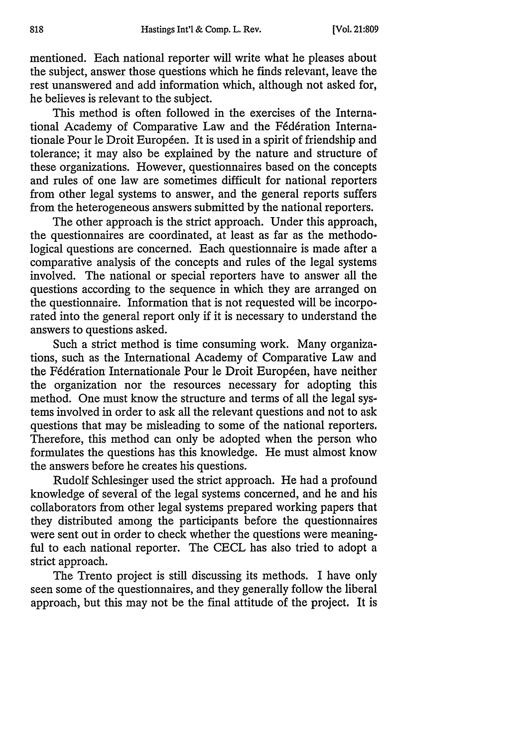mentioned. Each national reporter will write what he pleases about the subject, answer those questions which he finds relevant, leave the rest unanswered and add information which, although not asked for, he believes is relevant to the subject.

This method is often followed in the exercises of the International Academy of Comparative Law and the Fédération Internationale Pour le Droit Européen. It is used in a spirit of friendship and tolerance; it may also be explained by the nature and structure of these organizations. However, questionnaires based on the concepts and rules of one law are sometimes difficult for national reporters from other legal systems to answer, and the general reports suffers from the heterogeneous answers submitted by the national reporters.

The other approach is the strict approach. Under this approach, the questionnaires are coordinated, at least as far as the methodological questions are concerned. Each questionnaire is made after a comparative analysis of the concepts and rules of the legal systems involved. The national or special reporters have to answer all the questions according to the sequence in which they are arranged on the questionnaire. Information that is not requested will be incorporated into the general report only if it is necessary to understand the answers to questions asked.

Such a strict method is time consuming work. Many organizations, such as the International Academy of Comparative Law and the Fédération Internationale Pour le Droit Européen, have neither the organization nor the resources necessary for adopting this method. One must know the structure and terms of all the legal systems involved in order to ask all the relevant questions and not to ask questions that may be misleading to some of the national reporters. Therefore, this method can only be adopted when the person who formulates the questions has this knowledge. He must almost know the answers before he creates his questions.

Rudolf Schlesinger used the strict approach. He had a profound knowledge of several of the legal systems concerned, and he and his collaborators from other legal systems prepared working papers that they distributed among the participants before the questionnaires were sent out in order to check whether the questions were meaningful to each national reporter. The CECL has also tried to adopt a strict approach.

The Trento project is still discussing its methods. I have only seen some of the questionnaires, and they generally follow the liberal approach, but this may not be the final attitude of the project. It is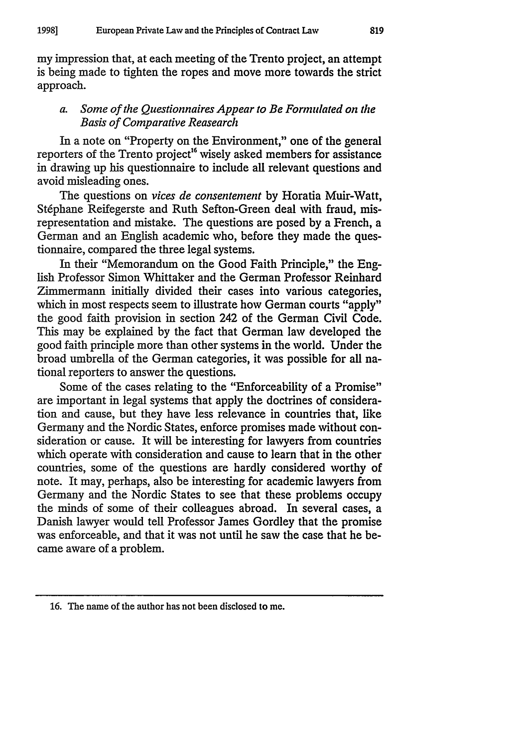my impression that, at each meeting of the Trento project, an attempt is being made to tighten the ropes and move more towards the strict approach.

#### *a. Some of the Questionnaires Appear to Be Formulated on the Basis of Comparative Reasearch*

In a note on "Property on the Environment," one of the general reporters of the Trento project<sup>16</sup> wisely asked members for assistance in drawing up his questionnaire to include all relevant questions and avoid misleading ones.

The questions on *vices de consentement* by Horatia Muir-Watt, Stéphane Reifegerste and Ruth Sefton-Green deal with fraud, misrepresentation and mistake. The questions are posed by a French, a German and an English academic who, before they made the questionnaire, compared the three legal systems.

In their "Memorandum on the Good Faith Principle," the English Professor Simon Whittaker and the German Professor Reinhard Zimmermann initially divided their cases into various categories, which in most respects seem to illustrate how German courts "apply" the good faith provision in section 242 of the German Civil Code. This may be explained by the fact that German law developed the good faith principle more than other systems in the world. Under the broad umbrella of the German categories, it was possible for all national reporters to answer the questions.

Some of the cases relating to the "Enforceability of a Promise" are important in legal systems that apply the doctrines of consideration and cause, but they have less relevance in countries that, like Germany and the Nordic States, enforce promises made without consideration or cause. It will be interesting for lawyers from countries which operate with consideration and cause to learn that in the other countries, some of the questions are hardly considered worthy of note. It may, perhaps, also be interesting for academic lawyers from Germany and the Nordic States to see that these problems occupy the minds of some of their colleagues abroad. In several cases, a Danish lawyer would tell Professor James Gordley that the promise was enforceable, and that it was not until he saw the case that he became aware of a problem.

**<sup>16.</sup>** The name of the author has not been disclosed to me.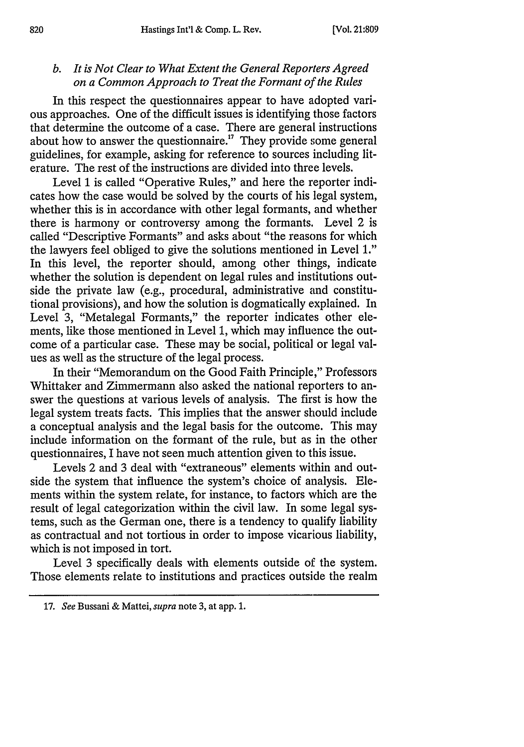# *b. It is Not Clear to What Extent the General Reporters Agreed on a Common Approach to Treat the Formant of the Rules*

In this respect the questionnaires appear to have adopted various approaches. One of the difficult issues is identifying those factors that determine the outcome of a case. There are general instructions about how to answer the questionnaire." They provide some general guidelines, for example, asking for reference to sources including literature. The rest of the instructions are divided into three levels.

Level 1 is called "Operative Rules," and here the reporter indicates how the case would be solved by the courts of his legal system, whether this is in accordance with other legal formants, and whether there is harmony or controversy among the formants. Level 2 is called "Descriptive Formants" and asks about "the reasons for which the lawyers feel obliged to give the solutions mentioned in Level **1."** In this level, the reporter should, among other things, indicate whether the solution is dependent on legal rules and institutions outside the private law (e.g., procedural, administrative and constitutional provisions), and how the solution is dogmatically explained. In Level 3, "Metalegal Formants," the reporter indicates other elements, like those mentioned in Level 1, which may influence the outcome of a particular case. These may be social, political or legal values as well as the structure of the legal process.

In their "Memorandum on the Good Faith Principle," Professors Whittaker and Zimmermann also asked the national reporters to answer the questions at various levels of analysis. The first is how the legal system treats facts. This implies that the answer should include a conceptual analysis and the legal basis for the outcome. This may include information on the formant of the rule, but as in the other questionnaires, I have not seen much attention given to this issue.

Levels 2 and 3 deal with "extraneous" elements within and outside the system that influence the system's choice of analysis. Elements within the system relate, for instance, to factors which are the result of legal categorization within the civil law. In some legal systems, such as the German one, there is a tendency to qualify liability as contractual and not tortious in order to impose vicarious liability, which is not imposed in tort.

Level 3 specifically deals with elements outside of the system. Those elements relate to institutions and practices outside the realm

<sup>17.</sup> *See* Bussani & Mattei, *supra* note **3,** at app. **1.**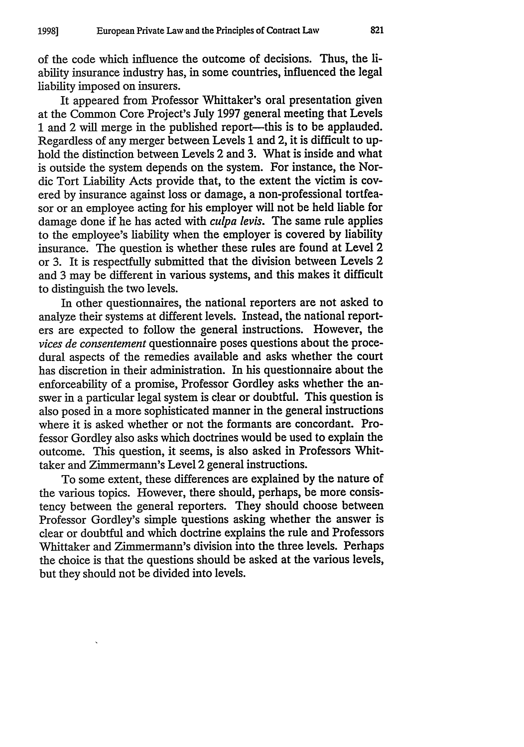of the code which influence the outcome of decisions. Thus, the iability insurance industry has, in some countries, influenced the legal liability imposed on insurers.

It appeared from Professor Whittaker's oral presentation given at the Common Core Project's July 1997 general meeting that Levels 1 and 2 will merge in the published report—this is to be applauded. Regardless of any merger between Levels 1 and 2, it is difficult to uphold the distinction between Levels 2 and 3. What is inside and what is outside the system depends on the system. For instance, the Nordic Tort Liability Acts provide that, to the extent the victim is covered by insurance against loss or damage, a non-professional tortfeasor or an employee acting for his employer will not be held liable for damage done if he has acted with *culpa levis.* The same rule applies to the employee's liability when the employer is covered by liability insurance. The question is whether these rules are found at Level 2 or 3. It is respectfully submitted that the division between Levels 2 and 3 may be different in various systems, and this makes it difficult to distinguish the two levels.

In other questionnaires, the national reporters are not asked to analyze their systems at different levels. Instead, the national reporters are expected to follow the general instructions. However, the *vices de consentement* questionnaire poses questions about the procedural aspects of the remedies available and asks whether the court has discretion in their administration. In his questionnaire about the enforceability of a promise, Professor Gordley asks whether the answer in a particular legal system is clear or doubtful. This question is also posed in a more sophisticated manner in the general instructions where it is asked whether or not the formants are concordant. Professor Gordley also asks which doctrines would be used to explain the outcome. This question, it seems, is also asked in Professors Whittaker and Zimmermann's Level 2 general instructions.

To some extent, these differences are explained by the nature of the various topics. However, there should, perhaps, be more consistency between the general reporters. They should choose between Professor Gordley's simple questions asking whether the answer is clear or doubtful and which doctrine explains the rule and Professors Whittaker and Zimmermann's division into the three levels. Perhaps the choice is that the questions should be asked at the various levels, but they should not be divided into levels.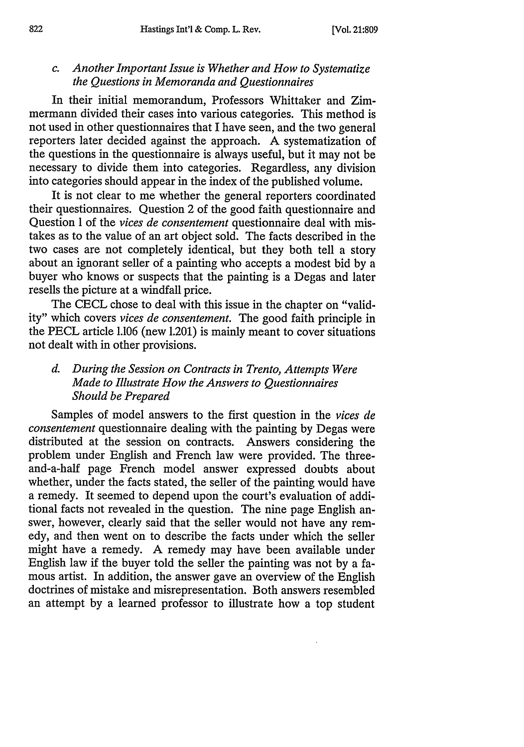# *c. Another Important Issue is Whether and How to Systematize the Questions in Memoranda and Questionnaires*

In their initial memorandum, Professors Whittaker and Zimmermann divided their cases into various categories. This method is not used in other questionnaires that I have seen, and the two general reporters later decided against the approach. A systematization of the questions in the questionnaire is always useful, but it may not be necessary to divide them into categories. Regardless, any division into categories should appear in the index of the published volume.

It is not clear to me whether the general reporters coordinated their questionnaires. Question 2 of the good faith questionnaire and Question 1 of the *vices de consentement* questionnaire deal with mistakes as to the value of an art object sold. The facts described in the two cases are not completely identical, but they both tell a story about an ignorant seller of a painting who accepts a modest bid by a buyer who knows or suspects that the painting is a Degas and later resells the picture at a windfall price.

The **CECL** chose to deal with this issue in the chapter on "validity" which covers *vices de consentement.* The good faith principle in the PECL article 1.106 (new 1.201) is mainly meant to cover situations not dealt with in other provisions.

# *d. During the Session on Contracts in Trento, Attempts Were Made to Illustrate How the Answers to Questionnaires Should be Prepared*

Samples of model answers to the first question in the *vices de consentement* questionnaire dealing with the painting by Degas were distributed at the session on contracts. Answers considering the problem under English and French law were provided. The threeand-a-half page French model answer expressed doubts about whether, under the facts stated, the seller of the painting would have a remedy. It seemed to depend upon the court's evaluation of additional facts not revealed in the question. The nine page English answer, however, clearly said that the seller would not have any remedy, and then went on to describe the facts under which the seller might have a remedy. A remedy may have been available under English law if the buyer told the seller the painting was not by a famous artist. In addition, the answer gave an overview of the English doctrines of mistake and misrepresentation. Both answers resembled an attempt by a learned professor to illustrate how a top student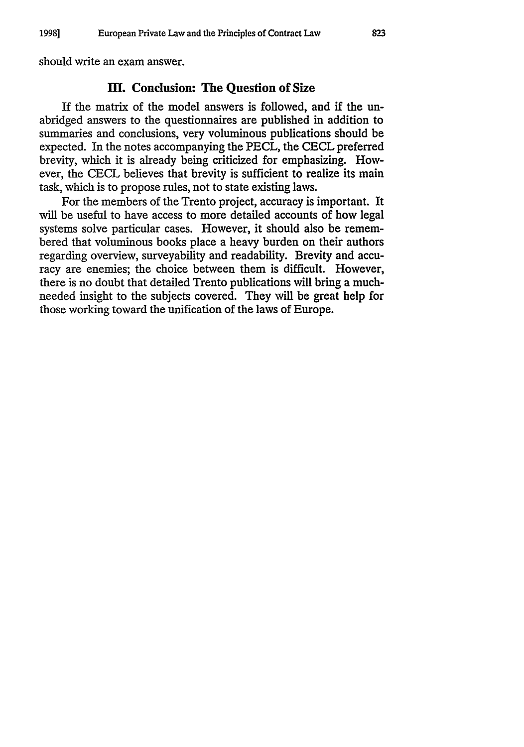should write an exam answer.

#### **HI.** Conclusion: The Question **of Size**

**If** the matrix of the model answers is followed, and **if** the unabridged answers to the questionnaires are published in addition to summaries and conclusions, very voluminous publications should be expected. In the notes accompanying the PECL, the CECL preferred brevity, which it is already being criticized for emphasizing. However, the CECL believes that brevity is sufficient to realize its main task, which is to propose rules, not to state existing laws.

For the members of the Trento project, accuracy is important. It will be useful to have access to more detailed accounts of how legal systems solve particular cases. However, it should also be remembered that voluminous books place a heavy burden on their authors regarding overview, surveyability and readability. Brevity and accuracy are enemies; the choice between them is difficult. However, there is no doubt that detailed Trento publications will bring a muchneeded insight to the subjects covered. They will be great help for those working toward the unification of the laws of Europe.